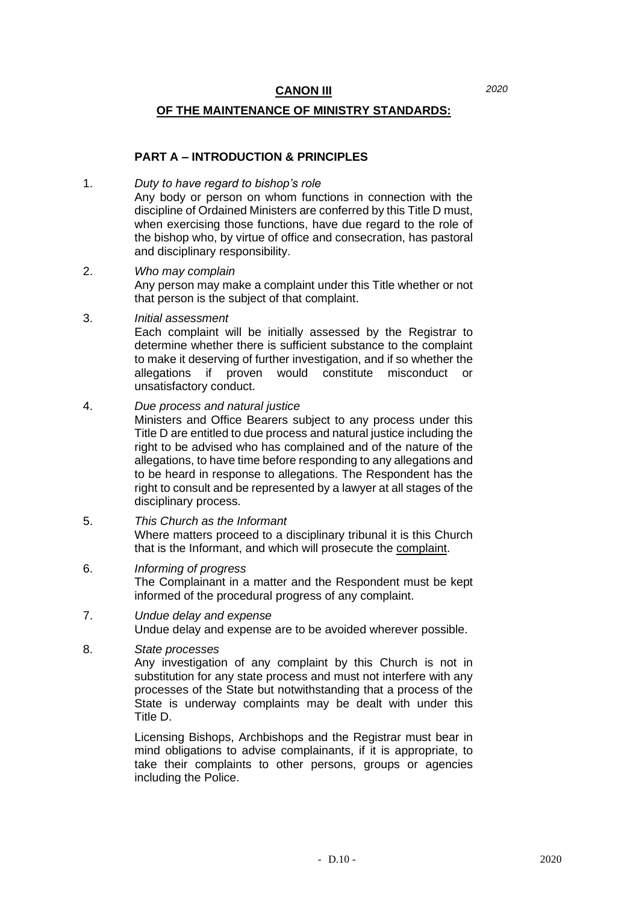### **OF THE MAINTENANCE OF MINISTRY STANDARDS:**

### **PART A – INTRODUCTION & PRINCIPLES**

#### 1. *Duty to have regard to bishop's role*

Any body or person on whom functions in connection with the discipline of Ordained Ministers are conferred by this Title D must, when exercising those functions, have due regard to the role of the bishop who, by virtue of office and consecration, has pastoral and disciplinary responsibility.

- 2. *Who may complain* Any person may make a complaint under this Title whether or not that person is the subject of that complaint.
- 3. *Initial assessment*

Each complaint will be initially assessed by the Registrar to determine whether there is sufficient substance to the complaint to make it deserving of further investigation, and if so whether the allegations if proven would constitute misconduct or unsatisfactory conduct.

### 4. *Due process and natural justice*

Ministers and Office Bearers subject to any process under this Title D are entitled to due process and natural justice including the right to be advised who has complained and of the nature of the allegations, to have time before responding to any allegations and to be heard in response to allegations. The Respondent has the right to consult and be represented by a lawyer at all stages of the disciplinary process.

- 5. *This Church as the Informant* Where matters proceed to a disciplinary tribunal it is this Church that is the Informant, and which will prosecute the complaint.
- 6. *Informing of progress* The Complainant in a matter and the Respondent must be kept informed of the procedural progress of any complaint.
- 7. *Undue delay and expense* Undue delay and expense are to be avoided wherever possible.

### 8. *State processes*

Any investigation of any complaint by this Church is not in substitution for any state process and must not interfere with any processes of the State but notwithstanding that a process of the State is underway complaints may be dealt with under this Title D.

Licensing Bishops, Archbishops and the Registrar must bear in mind obligations to advise complainants, if it is appropriate, to take their complaints to other persons, groups or agencies including the Police.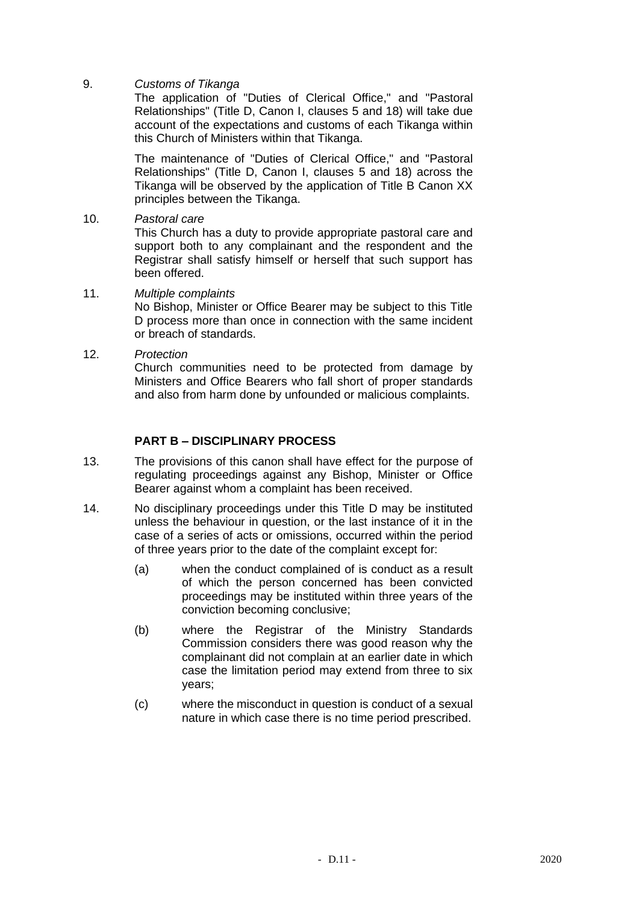9. *Customs of Tikanga*

The application of "Duties of Clerical Office," and "Pastoral Relationships" (Title D, Canon I, clauses 5 and 18) will take due account of the expectations and customs of each Tikanga within this Church of Ministers within that Tikanga.

The maintenance of "Duties of Clerical Office," and "Pastoral Relationships" (Title D, Canon I, clauses 5 and 18) across the Tikanga will be observed by the application of Title B Canon XX principles between the Tikanga.

10. *Pastoral care*

This Church has a duty to provide appropriate pastoral care and support both to any complainant and the respondent and the Registrar shall satisfy himself or herself that such support has been offered.

- 11. *Multiple complaints* No Bishop, Minister or Office Bearer may be subject to this Title D process more than once in connection with the same incident or breach of standards.
- 12. *Protection*

Church communities need to be protected from damage by Ministers and Office Bearers who fall short of proper standards and also from harm done by unfounded or malicious complaints.

# **PART B – DISCIPLINARY PROCESS**

- 13. The provisions of this canon shall have effect for the purpose of regulating proceedings against any Bishop, Minister or Office Bearer against whom a complaint has been received.
- 14. No disciplinary proceedings under this Title D may be instituted unless the behaviour in question, or the last instance of it in the case of a series of acts or omissions, occurred within the period of three years prior to the date of the complaint except for:
	- (a) when the conduct complained of is conduct as a result of which the person concerned has been convicted proceedings may be instituted within three years of the conviction becoming conclusive;
	- (b) where the Registrar of the Ministry Standards Commission considers there was good reason why the complainant did not complain at an earlier date in which case the limitation period may extend from three to six years;
	- (c) where the misconduct in question is conduct of a sexual nature in which case there is no time period prescribed.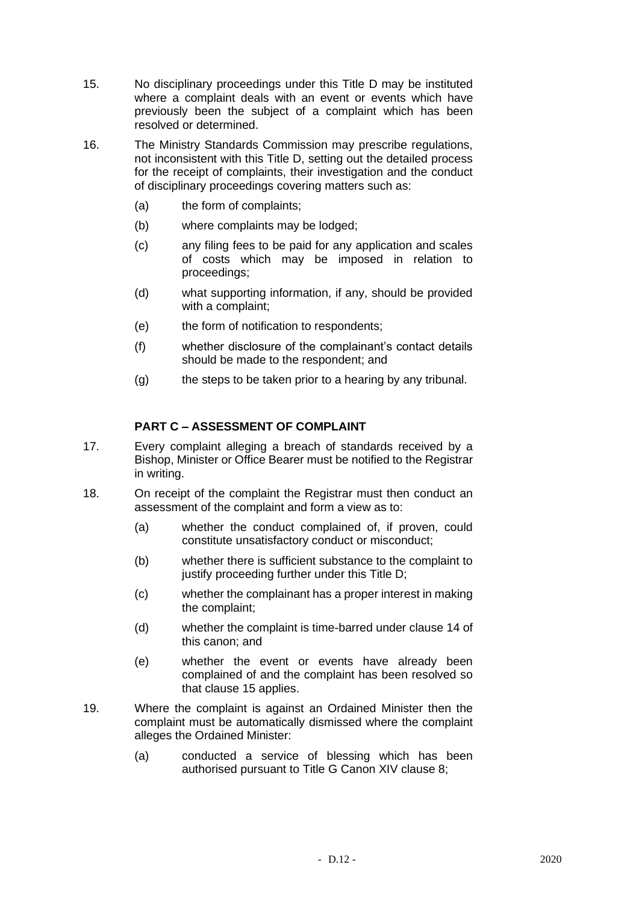- 15. No disciplinary proceedings under this Title D may be instituted where a complaint deals with an event or events which have previously been the subject of a complaint which has been resolved or determined.
- 16. The Ministry Standards Commission may prescribe regulations, not inconsistent with this Title D, setting out the detailed process for the receipt of complaints, their investigation and the conduct of disciplinary proceedings covering matters such as:
	- (a) the form of complaints;
	- (b) where complaints may be lodged;
	- (c) any filing fees to be paid for any application and scales of costs which may be imposed in relation to proceedings;
	- (d) what supporting information, if any, should be provided with a complaint;
	- (e) the form of notification to respondents;
	- (f) whether disclosure of the complainant's contact details should be made to the respondent; and
	- (g) the steps to be taken prior to a hearing by any tribunal.

# **PART C – ASSESSMENT OF COMPLAINT**

- 17. Every complaint alleging a breach of standards received by a Bishop, Minister or Office Bearer must be notified to the Registrar in writing.
- 18. On receipt of the complaint the Registrar must then conduct an assessment of the complaint and form a view as to:
	- (a) whether the conduct complained of, if proven, could constitute unsatisfactory conduct or misconduct;
	- (b) whether there is sufficient substance to the complaint to justify proceeding further under this Title D:
	- (c) whether the complainant has a proper interest in making the complaint;
	- (d) whether the complaint is time-barred under clause 14 of this canon; and
	- (e) whether the event or events have already been complained of and the complaint has been resolved so that clause 15 applies.
- 19. Where the complaint is against an Ordained Minister then the complaint must be automatically dismissed where the complaint alleges the Ordained Minister:
	- (a) conducted a service of blessing which has been authorised pursuant to Title G Canon XIV clause 8;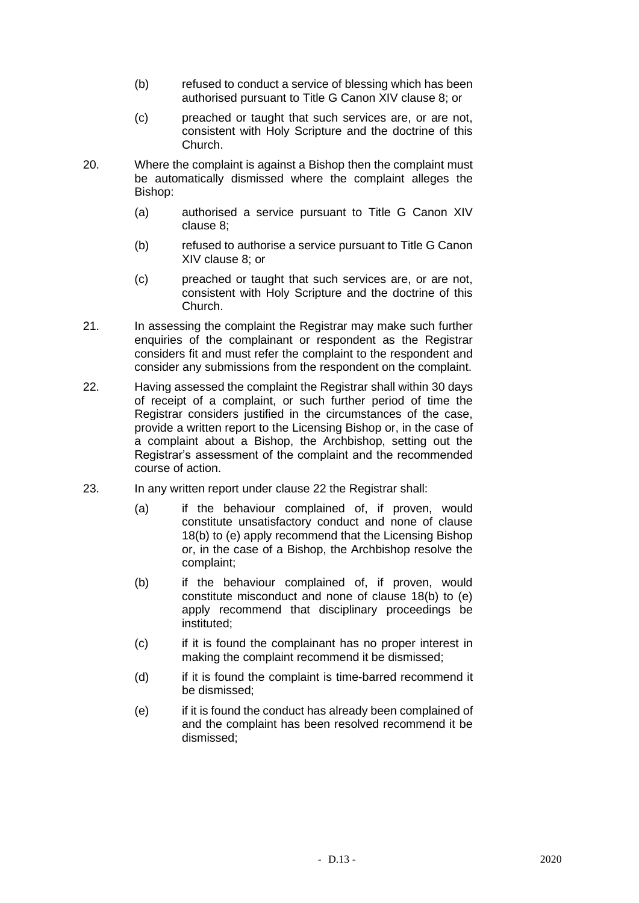- (b) refused to conduct a service of blessing which has been authorised pursuant to Title G Canon XIV clause 8; or
- (c) preached or taught that such services are, or are not, consistent with Holy Scripture and the doctrine of this Church.
- 20. Where the complaint is against a Bishop then the complaint must be automatically dismissed where the complaint alleges the Bishop:
	- (a) authorised a service pursuant to Title G Canon XIV clause 8;
	- (b) refused to authorise a service pursuant to Title G Canon XIV clause 8; or
	- (c) preached or taught that such services are, or are not, consistent with Holy Scripture and the doctrine of this Church.
- 21. In assessing the complaint the Registrar may make such further enquiries of the complainant or respondent as the Registrar considers fit and must refer the complaint to the respondent and consider any submissions from the respondent on the complaint.
- 22. Having assessed the complaint the Registrar shall within 30 days of receipt of a complaint, or such further period of time the Registrar considers justified in the circumstances of the case, provide a written report to the Licensing Bishop or, in the case of a complaint about a Bishop, the Archbishop, setting out the Registrar's assessment of the complaint and the recommended course of action.
- 23. In any written report under clause 22 the Registrar shall:
	- (a) if the behaviour complained of, if proven, would constitute unsatisfactory conduct and none of clause 18(b) to (e) apply recommend that the Licensing Bishop or, in the case of a Bishop, the Archbishop resolve the complaint;
	- (b) if the behaviour complained of, if proven, would constitute misconduct and none of clause 18(b) to (e) apply recommend that disciplinary proceedings be instituted;
	- (c) if it is found the complainant has no proper interest in making the complaint recommend it be dismissed;
	- (d) if it is found the complaint is time-barred recommend it be dismissed;
	- (e) if it is found the conduct has already been complained of and the complaint has been resolved recommend it be dismissed;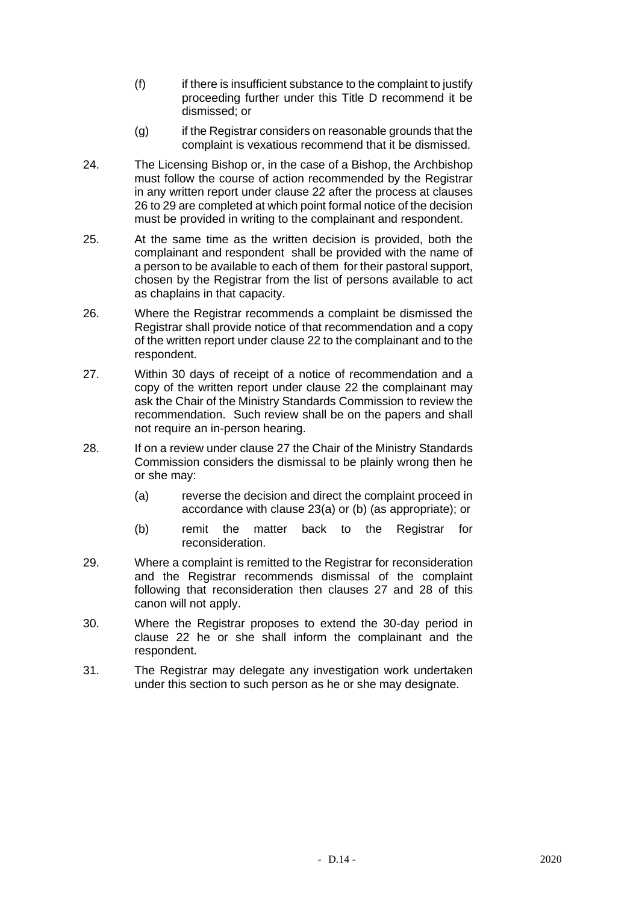- (f) if there is insufficient substance to the complaint to justify proceeding further under this Title D recommend it be dismissed; or
- (g) if the Registrar considers on reasonable grounds that the complaint is vexatious recommend that it be dismissed.
- 24. The Licensing Bishop or, in the case of a Bishop, the Archbishop must follow the course of action recommended by the Registrar in any written report under clause 22 after the process at clauses 26 to 29 are completed at which point formal notice of the decision must be provided in writing to the complainant and respondent.
- 25. At the same time as the written decision is provided, both the complainant and respondent shall be provided with the name of a person to be available to each of them for their pastoral support, chosen by the Registrar from the list of persons available to act as chaplains in that capacity.
- 26. Where the Registrar recommends a complaint be dismissed the Registrar shall provide notice of that recommendation and a copy of the written report under clause 22 to the complainant and to the respondent.
- 27. Within 30 days of receipt of a notice of recommendation and a copy of the written report under clause 22 the complainant may ask the Chair of the Ministry Standards Commission to review the recommendation. Such review shall be on the papers and shall not require an in-person hearing.
- 28. If on a review under clause 27 the Chair of the Ministry Standards Commission considers the dismissal to be plainly wrong then he or she may:
	- (a) reverse the decision and direct the complaint proceed in accordance with clause 23(a) or (b) (as appropriate); or
	- (b) remit the matter back to the Registrar for reconsideration.
- 29. Where a complaint is remitted to the Registrar for reconsideration and the Registrar recommends dismissal of the complaint following that reconsideration then clauses 27 and 28 of this canon will not apply.
- 30. Where the Registrar proposes to extend the 30-day period in clause 22 he or she shall inform the complainant and the respondent.
- 31. The Registrar may delegate any investigation work undertaken under this section to such person as he or she may designate.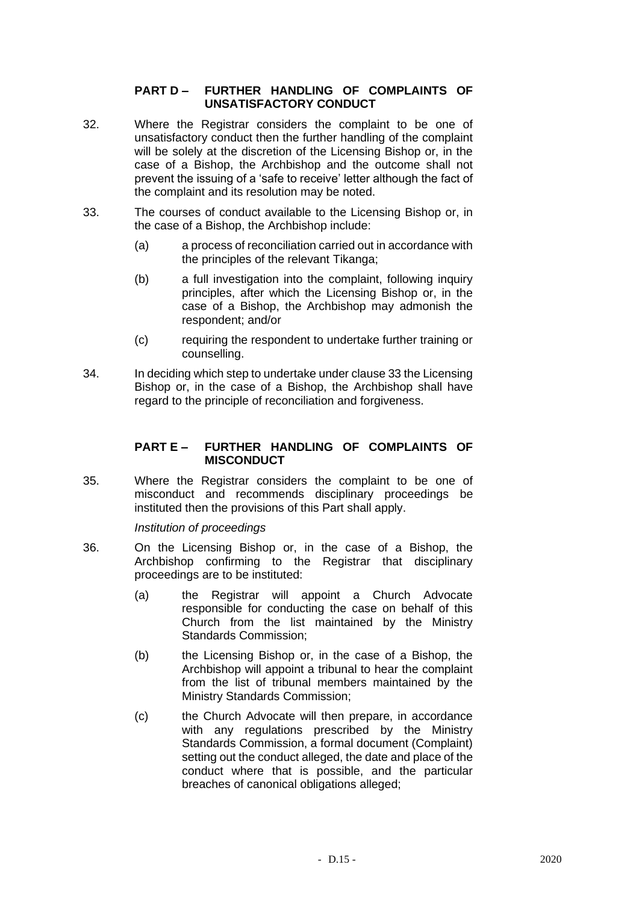## **PART D – FURTHER HANDLING OF COMPLAINTS OF UNSATISFACTORY CONDUCT**

- 32. Where the Registrar considers the complaint to be one of unsatisfactory conduct then the further handling of the complaint will be solely at the discretion of the Licensing Bishop or, in the case of a Bishop, the Archbishop and the outcome shall not prevent the issuing of a 'safe to receive' letter although the fact of the complaint and its resolution may be noted.
- 33. The courses of conduct available to the Licensing Bishop or, in the case of a Bishop, the Archbishop include:
	- (a) a process of reconciliation carried out in accordance with the principles of the relevant Tikanga;
	- (b) a full investigation into the complaint, following inquiry principles, after which the Licensing Bishop or, in the case of a Bishop, the Archbishop may admonish the respondent; and/or
	- (c) requiring the respondent to undertake further training or counselling.
- 34. In deciding which step to undertake under clause 33 the Licensing Bishop or, in the case of a Bishop, the Archbishop shall have regard to the principle of reconciliation and forgiveness.

### **PART E – FURTHER HANDLING OF COMPLAINTS OF MISCONDUCT**

35. Where the Registrar considers the complaint to be one of misconduct and recommends disciplinary proceedings be instituted then the provisions of this Part shall apply.

### *Institution of proceedings*

- 36. On the Licensing Bishop or, in the case of a Bishop, the Archbishop confirming to the Registrar that disciplinary proceedings are to be instituted:
	- (a) the Registrar will appoint a Church Advocate responsible for conducting the case on behalf of this Church from the list maintained by the Ministry Standards Commission;
	- (b) the Licensing Bishop or, in the case of a Bishop, the Archbishop will appoint a tribunal to hear the complaint from the list of tribunal members maintained by the Ministry Standards Commission;
	- (c) the Church Advocate will then prepare, in accordance with any regulations prescribed by the Ministry Standards Commission, a formal document (Complaint) setting out the conduct alleged, the date and place of the conduct where that is possible, and the particular breaches of canonical obligations alleged;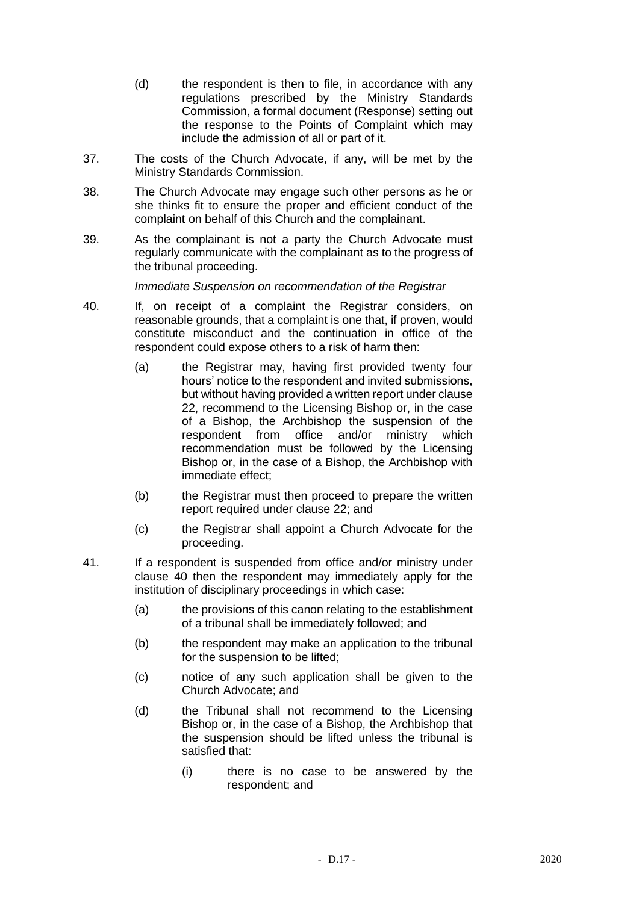- (d) the respondent is then to file, in accordance with any regulations prescribed by the Ministry Standards Commission, a formal document (Response) setting out the response to the Points of Complaint which may include the admission of all or part of it.
- 37. The costs of the Church Advocate, if any, will be met by the Ministry Standards Commission.
- 38. The Church Advocate may engage such other persons as he or she thinks fit to ensure the proper and efficient conduct of the complaint on behalf of this Church and the complainant.
- 39. As the complainant is not a party the Church Advocate must regularly communicate with the complainant as to the progress of the tribunal proceeding.

*Immediate Suspension on recommendation of the Registrar*

- 40. If, on receipt of a complaint the Registrar considers, on reasonable grounds, that a complaint is one that, if proven, would constitute misconduct and the continuation in office of the respondent could expose others to a risk of harm then:
	- (a) the Registrar may, having first provided twenty four hours' notice to the respondent and invited submissions, but without having provided a written report under clause 22, recommend to the Licensing Bishop or, in the case of a Bishop, the Archbishop the suspension of the respondent from office and/or ministry which recommendation must be followed by the Licensing Bishop or, in the case of a Bishop, the Archbishop with immediate effect;
	- (b) the Registrar must then proceed to prepare the written report required under clause 22; and
	- (c) the Registrar shall appoint a Church Advocate for the proceeding.
- 41. If a respondent is suspended from office and/or ministry under clause 40 then the respondent may immediately apply for the institution of disciplinary proceedings in which case:
	- (a) the provisions of this canon relating to the establishment of a tribunal shall be immediately followed; and
	- (b) the respondent may make an application to the tribunal for the suspension to be lifted;
	- (c) notice of any such application shall be given to the Church Advocate; and
	- (d) the Tribunal shall not recommend to the Licensing Bishop or, in the case of a Bishop, the Archbishop that the suspension should be lifted unless the tribunal is satisfied that:
		- (i) there is no case to be answered by the respondent; and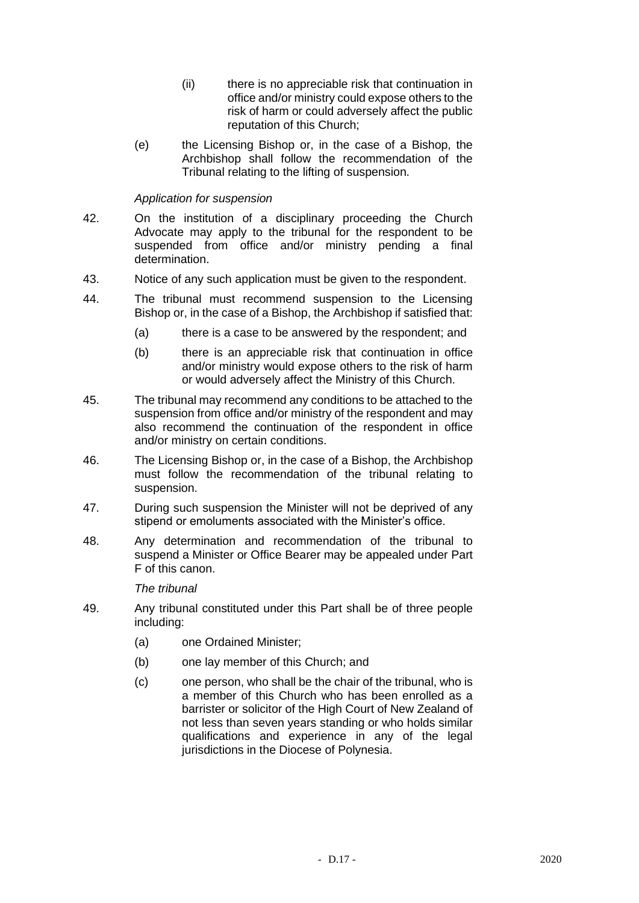- (ii) there is no appreciable risk that continuation in office and/or ministry could expose others to the risk of harm or could adversely affect the public reputation of this Church;
- (e) the Licensing Bishop or, in the case of a Bishop, the Archbishop shall follow the recommendation of the Tribunal relating to the lifting of suspension.

## *Application for suspension*

- 42. On the institution of a disciplinary proceeding the Church Advocate may apply to the tribunal for the respondent to be suspended from office and/or ministry pending a final determination.
- 43. Notice of any such application must be given to the respondent.
- 44. The tribunal must recommend suspension to the Licensing Bishop or, in the case of a Bishop, the Archbishop if satisfied that:
	- (a) there is a case to be answered by the respondent; and
	- (b) there is an appreciable risk that continuation in office and/or ministry would expose others to the risk of harm or would adversely affect the Ministry of this Church.
- 45. The tribunal may recommend any conditions to be attached to the suspension from office and/or ministry of the respondent and may also recommend the continuation of the respondent in office and/or ministry on certain conditions.
- 46. The Licensing Bishop or, in the case of a Bishop, the Archbishop must follow the recommendation of the tribunal relating to suspension.
- 47. During such suspension the Minister will not be deprived of any stipend or emoluments associated with the Minister's office.
- 48. Any determination and recommendation of the tribunal to suspend a Minister or Office Bearer may be appealed under Part F of this canon.

### *The tribunal*

- 49. Any tribunal constituted under this Part shall be of three people including:
	- (a) one Ordained Minister;
	- (b) one lay member of this Church; and
	- (c) one person, who shall be the chair of the tribunal, who is a member of this Church who has been enrolled as a barrister or solicitor of the High Court of New Zealand of not less than seven years standing or who holds similar qualifications and experience in any of the legal jurisdictions in the Diocese of Polynesia.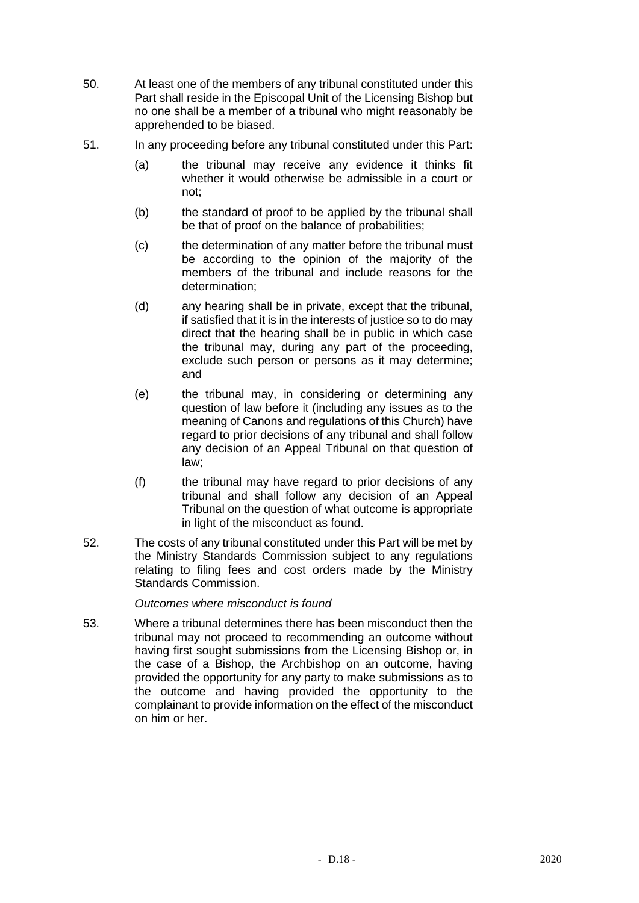- 50. At least one of the members of any tribunal constituted under this Part shall reside in the Episcopal Unit of the Licensing Bishop but no one shall be a member of a tribunal who might reasonably be apprehended to be biased.
- 51. In any proceeding before any tribunal constituted under this Part:
	- (a) the tribunal may receive any evidence it thinks fit whether it would otherwise be admissible in a court or not;
	- (b) the standard of proof to be applied by the tribunal shall be that of proof on the balance of probabilities;
	- (c) the determination of any matter before the tribunal must be according to the opinion of the majority of the members of the tribunal and include reasons for the determination;
	- (d) any hearing shall be in private, except that the tribunal, if satisfied that it is in the interests of justice so to do may direct that the hearing shall be in public in which case the tribunal may, during any part of the proceeding, exclude such person or persons as it may determine; and
	- (e) the tribunal may, in considering or determining any question of law before it (including any issues as to the meaning of Canons and regulations of this Church) have regard to prior decisions of any tribunal and shall follow any decision of an Appeal Tribunal on that question of law;
	- (f) the tribunal may have regard to prior decisions of any tribunal and shall follow any decision of an Appeal Tribunal on the question of what outcome is appropriate in light of the misconduct as found.
- 52. The costs of any tribunal constituted under this Part will be met by the Ministry Standards Commission subject to any regulations relating to filing fees and cost orders made by the Ministry Standards Commission.

## *Outcomes where misconduct is found*

53. Where a tribunal determines there has been misconduct then the tribunal may not proceed to recommending an outcome without having first sought submissions from the Licensing Bishop or, in the case of a Bishop, the Archbishop on an outcome, having provided the opportunity for any party to make submissions as to the outcome and having provided the opportunity to the complainant to provide information on the effect of the misconduct on him or her.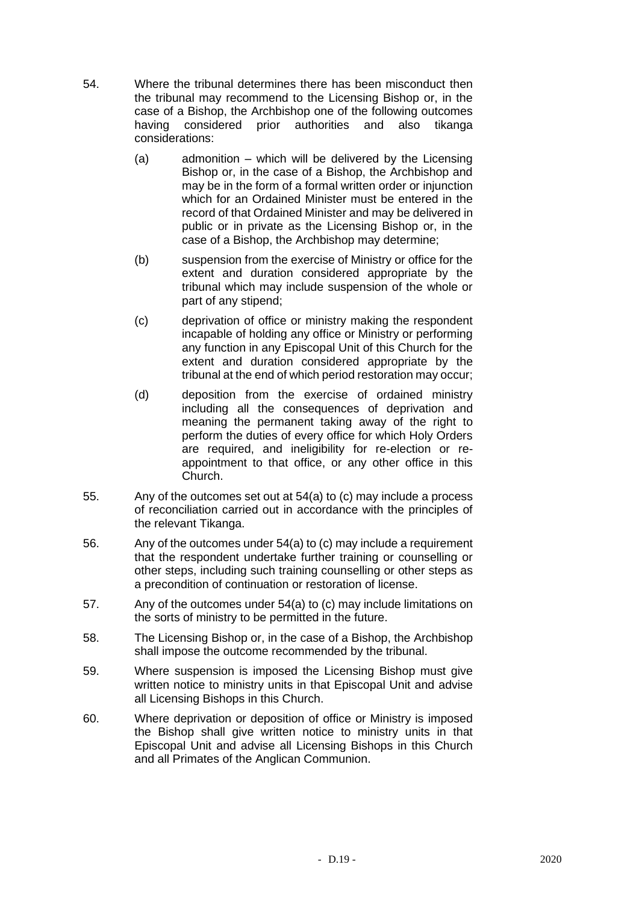- 54. Where the tribunal determines there has been misconduct then the tribunal may recommend to the Licensing Bishop or, in the case of a Bishop, the Archbishop one of the following outcomes having considered prior authorities and also tikanga considerations:
	- (a) admonition which will be delivered by the Licensing Bishop or, in the case of a Bishop, the Archbishop and may be in the form of a formal written order or injunction which for an Ordained Minister must be entered in the record of that Ordained Minister and may be delivered in public or in private as the Licensing Bishop or, in the case of a Bishop, the Archbishop may determine;
	- (b) suspension from the exercise of Ministry or office for the extent and duration considered appropriate by the tribunal which may include suspension of the whole or part of any stipend;
	- (c) deprivation of office or ministry making the respondent incapable of holding any office or Ministry or performing any function in any Episcopal Unit of this Church for the extent and duration considered appropriate by the tribunal at the end of which period restoration may occur;
	- (d) deposition from the exercise of ordained ministry including all the consequences of deprivation and meaning the permanent taking away of the right to perform the duties of every office for which Holy Orders are required, and ineligibility for re-election or reappointment to that office, or any other office in this Church.
- 55. Any of the outcomes set out at 54(a) to (c) may include a process of reconciliation carried out in accordance with the principles of the relevant Tikanga.
- 56. Any of the outcomes under 54(a) to (c) may include a requirement that the respondent undertake further training or counselling or other steps, including such training counselling or other steps as a precondition of continuation or restoration of license.
- 57. Any of the outcomes under 54(a) to (c) may include limitations on the sorts of ministry to be permitted in the future.
- 58. The Licensing Bishop or, in the case of a Bishop, the Archbishop shall impose the outcome recommended by the tribunal.
- 59. Where suspension is imposed the Licensing Bishop must give written notice to ministry units in that Episcopal Unit and advise all Licensing Bishops in this Church.
- 60. Where deprivation or deposition of office or Ministry is imposed the Bishop shall give written notice to ministry units in that Episcopal Unit and advise all Licensing Bishops in this Church and all Primates of the Anglican Communion.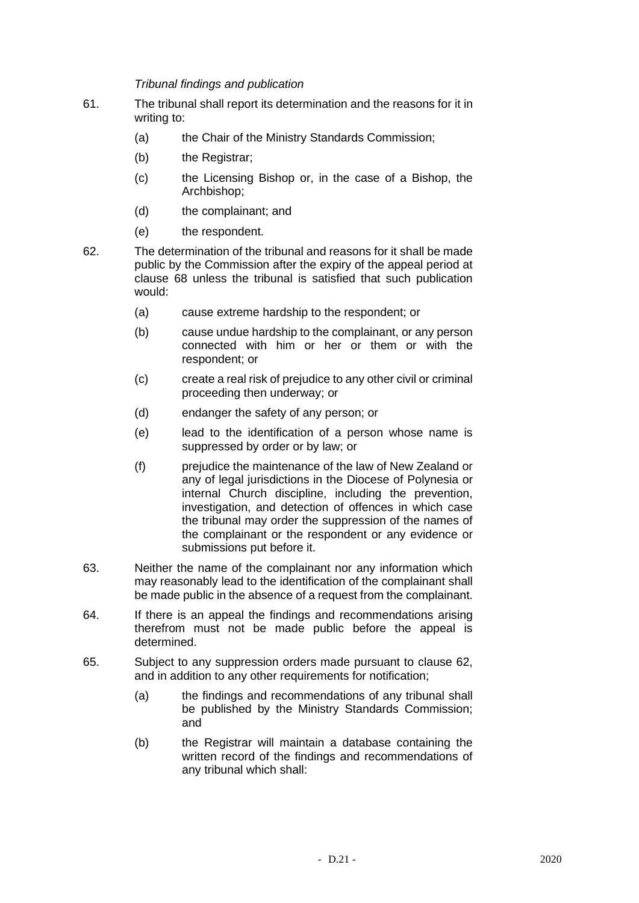*Tribunal findings and publication*

- 61. The tribunal shall report its determination and the reasons for it in writing to:
	- (a) the Chair of the Ministry Standards Commission;
	- (b) the Registrar;
	- (c) the Licensing Bishop or, in the case of a Bishop, the Archbishop;
	- (d) the complainant; and
	- (e) the respondent.
- 62. The determination of the tribunal and reasons for it shall be made public by the Commission after the expiry of the appeal period at clause 68 unless the tribunal is satisfied that such publication would:
	- (a) cause extreme hardship to the respondent; or
	- (b) cause undue hardship to the complainant, or any person connected with him or her or them or with the respondent; or
	- (c) create a real risk of prejudice to any other civil or criminal proceeding then underway; or
	- (d) endanger the safety of any person; or
	- (e) lead to the identification of a person whose name is suppressed by order or by law; or
	- (f) prejudice the maintenance of the law of New Zealand or any of legal jurisdictions in the Diocese of Polynesia or internal Church discipline, including the prevention, investigation, and detection of offences in which case the tribunal may order the suppression of the names of the complainant or the respondent or any evidence or submissions put before it.
- 63. Neither the name of the complainant nor any information which may reasonably lead to the identification of the complainant shall be made public in the absence of a request from the complainant.
- 64. If there is an appeal the findings and recommendations arising therefrom must not be made public before the appeal is determined.
- 65. Subject to any suppression orders made pursuant to clause 62, and in addition to any other requirements for notification;
	- (a) the findings and recommendations of any tribunal shall be published by the Ministry Standards Commission; and
	- (b) the Registrar will maintain a database containing the written record of the findings and recommendations of any tribunal which shall: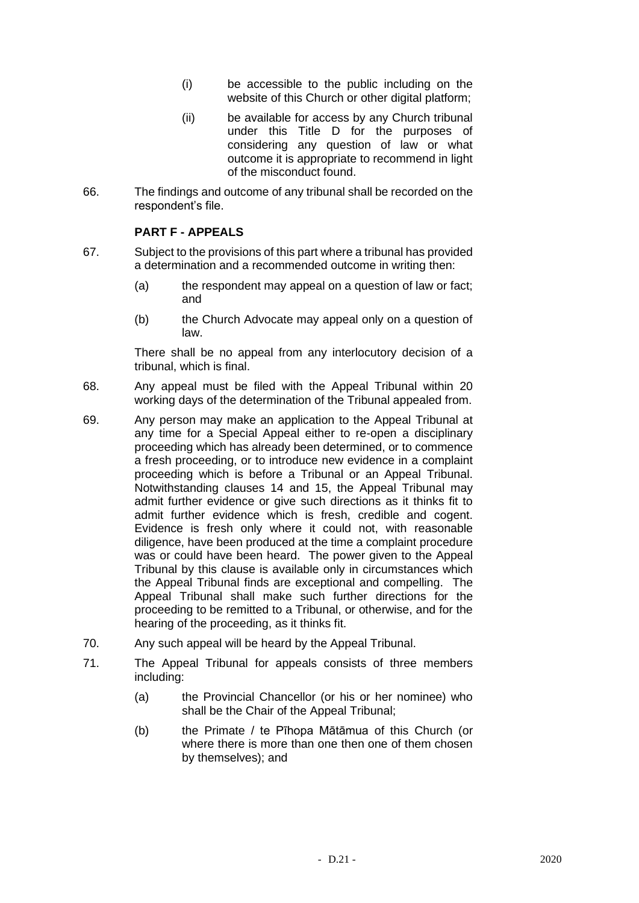- (i) be accessible to the public including on the website of this Church or other digital platform;
- (ii) be available for access by any Church tribunal under this Title D for the purposes of considering any question of law or what outcome it is appropriate to recommend in light of the misconduct found.
- 66. The findings and outcome of any tribunal shall be recorded on the respondent's file.

# **PART F - APPEALS**

- 67. Subject to the provisions of this part where a tribunal has provided a determination and a recommended outcome in writing then:
	- (a) the respondent may appeal on a question of law or fact; and
	- (b) the Church Advocate may appeal only on a question of law.

There shall be no appeal from any interlocutory decision of a tribunal, which is final.

- 68. Any appeal must be filed with the Appeal Tribunal within 20 working days of the determination of the Tribunal appealed from.
- 69. Any person may make an application to the Appeal Tribunal at any time for a Special Appeal either to re-open a disciplinary proceeding which has already been determined, or to commence a fresh proceeding, or to introduce new evidence in a complaint proceeding which is before a Tribunal or an Appeal Tribunal. Notwithstanding clauses 14 and 15, the Appeal Tribunal may admit further evidence or give such directions as it thinks fit to admit further evidence which is fresh, credible and cogent. Evidence is fresh only where it could not, with reasonable diligence, have been produced at the time a complaint procedure was or could have been heard. The power given to the Appeal Tribunal by this clause is available only in circumstances which the Appeal Tribunal finds are exceptional and compelling. The Appeal Tribunal shall make such further directions for the proceeding to be remitted to a Tribunal, or otherwise, and for the hearing of the proceeding, as it thinks fit.
- 70. Any such appeal will be heard by the Appeal Tribunal.
- 71. The Appeal Tribunal for appeals consists of three members including:
	- (a) the Provincial Chancellor (or his or her nominee) who shall be the Chair of the Appeal Tribunal;
	- (b) the Primate / te Pīhopa Mātāmua of this Church (or where there is more than one then one of them chosen by themselves); and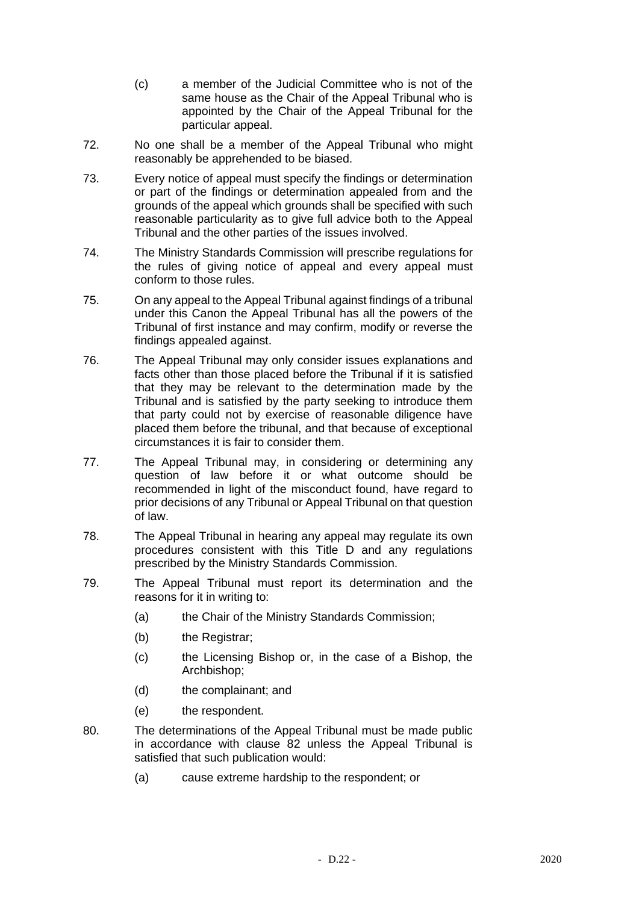- (c) a member of the Judicial Committee who is not of the same house as the Chair of the Appeal Tribunal who is appointed by the Chair of the Appeal Tribunal for the particular appeal.
- 72. No one shall be a member of the Appeal Tribunal who might reasonably be apprehended to be biased.
- 73. Every notice of appeal must specify the findings or determination or part of the findings or determination appealed from and the grounds of the appeal which grounds shall be specified with such reasonable particularity as to give full advice both to the Appeal Tribunal and the other parties of the issues involved.
- 74. The Ministry Standards Commission will prescribe regulations for the rules of giving notice of appeal and every appeal must conform to those rules.
- 75. On any appeal to the Appeal Tribunal against findings of a tribunal under this Canon the Appeal Tribunal has all the powers of the Tribunal of first instance and may confirm, modify or reverse the findings appealed against.
- 76. The Appeal Tribunal may only consider issues explanations and facts other than those placed before the Tribunal if it is satisfied that they may be relevant to the determination made by the Tribunal and is satisfied by the party seeking to introduce them that party could not by exercise of reasonable diligence have placed them before the tribunal, and that because of exceptional circumstances it is fair to consider them.
- 77. The Appeal Tribunal may, in considering or determining any question of law before it or what outcome should be recommended in light of the misconduct found, have regard to prior decisions of any Tribunal or Appeal Tribunal on that question of law.
- 78. The Appeal Tribunal in hearing any appeal may regulate its own procedures consistent with this Title D and any regulations prescribed by the Ministry Standards Commission.
- 79. The Appeal Tribunal must report its determination and the reasons for it in writing to:
	- (a) the Chair of the Ministry Standards Commission;
	- (b) the Registrar:
	- (c) the Licensing Bishop or, in the case of a Bishop, the Archbishop;
	- (d) the complainant; and
	- (e) the respondent.
- 80. The determinations of the Appeal Tribunal must be made public in accordance with clause 82 unless the Appeal Tribunal is satisfied that such publication would:
	- (a) cause extreme hardship to the respondent; or